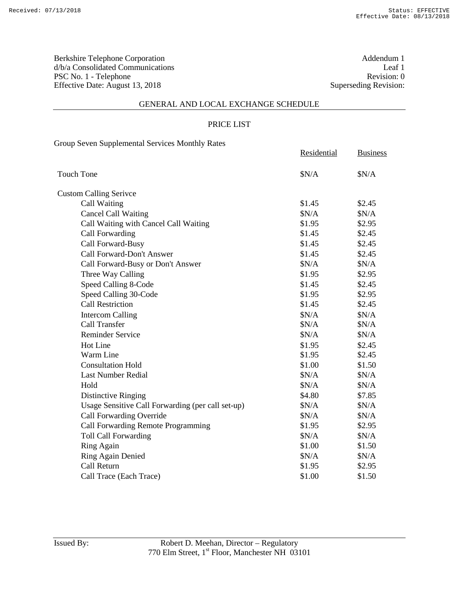Berkshire Telephone Corporation Addendum 1<br>  $d/b/a$  Consolidated Communications Leaf 1 d/b/a Consolidated Communications Leaf 1<br>
PSC No. 1 - Telephone Revision: 0 PSC No. 1 - Telephone Effective Date: August 13, 2018 Superseding Revision:

#### GENERAL AND LOCAL EXCHANGE SCHEDULE

#### PRICE LIST

Group Seven Supplemental Services Monthly Rates

|                                                   | Residential | <b>Business</b> |
|---------------------------------------------------|-------------|-----------------|
| Touch Tone                                        | \$N/A       | \$N/A           |
| <b>Custom Calling Serivce</b>                     |             |                 |
| Call Waiting                                      | \$1.45      | \$2.45          |
| <b>Cancel Call Waiting</b>                        | \$N/A       | \$N/A           |
| Call Waiting with Cancel Call Waiting             | \$1.95      | \$2.95          |
| Call Forwarding                                   | \$1.45      | \$2.45          |
| Call Forward-Busy                                 | \$1.45      | \$2.45          |
| Call Forward-Don't Answer                         | \$1.45      | \$2.45          |
| Call Forward-Busy or Don't Answer                 | \$N/A       | \$N/A           |
| Three Way Calling                                 | \$1.95      | \$2.95          |
| Speed Calling 8-Code                              | \$1.45      | \$2.45          |
| Speed Calling 30-Code                             | \$1.95      | \$2.95          |
| <b>Call Restriction</b>                           | \$1.45      | \$2.45          |
| <b>Intercom Calling</b>                           | \$N/A       | \$N/A           |
| <b>Call Transfer</b>                              | \$N/A       | \$N/A           |
| <b>Reminder Service</b>                           | \$N/A       | \$N/A           |
| Hot Line                                          | \$1.95      | \$2.45          |
| Warm Line                                         | \$1.95      | \$2.45          |
| <b>Consultation Hold</b>                          | \$1.00      | \$1.50          |
| <b>Last Number Redial</b>                         | \$N/A       | \$N/A           |
| Hold                                              | \$N/A       | \$N/A           |
| Distinctive Ringing                               | \$4.80      | \$7.85          |
| Usage Sensitive Call Forwarding (per call set-up) | \$N/A       | \$N/A           |
| Call Forwarding Override                          | \$N/A       | \$N/A           |
| Call Forwarding Remote Programming                | \$1.95      | \$2.95          |
| <b>Toll Call Forwarding</b>                       | \$N/A       | \$N/A           |
| Ring Again                                        | \$1.00      | \$1.50          |
| Ring Again Denied                                 | \$N/A       | \$N/A           |
| Call Return                                       | \$1.95      | \$2.95          |
| Call Trace (Each Trace)                           | \$1.00      | \$1.50          |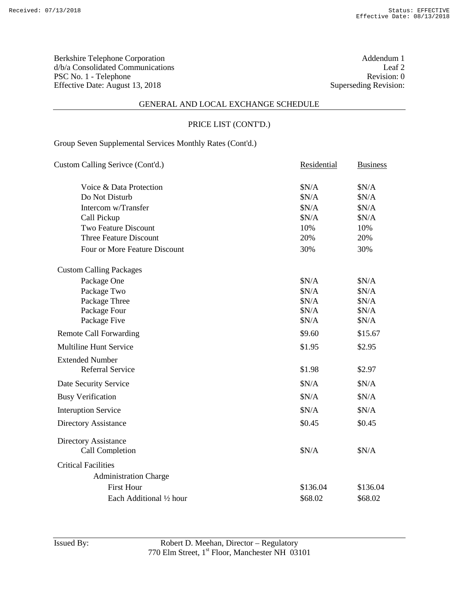Berkshire Telephone Corporation Addendum 1<br>
d/b/a Consolidated Communications Leaf 2 d/b/a Consolidated Communications Leaf 2<br>
PSC No. 1 - Telephone Revision: 0 PSC No. 1 - Telephone Revision: 0<br>Effective Date: August 13, 2018 Superseding Revision: 0 Effective Date: August 13, 2018

#### GENERAL AND LOCAL EXCHANGE SCHEDULE

# PRICE LIST (CONT'D.)

Group Seven Supplemental Services Monthly Rates (Cont'd.)

| Custom Calling Serivce (Cont'd.) | Residential | <b>Business</b> |
|----------------------------------|-------------|-----------------|
| Voice & Data Protection          | \$N/A       | \$N/A           |
| Do Not Disturb                   | \$N/A       | \$N/A           |
| Intercom w/Transfer              | \$N/A       | \$N/A           |
| Call Pickup                      | \$N/A       | \$N/A           |
| <b>Two Feature Discount</b>      | 10%         | 10%             |
| <b>Three Feature Discount</b>    | 20%         | 20%             |
| Four or More Feature Discount    | 30%         | 30%             |
| <b>Custom Calling Packages</b>   |             |                 |
| Package One                      | \$N/A       | \$N/A           |
| Package Two                      | \$N/A       | \$N/A           |
| Package Three                    | \$N/A       | \$N/A           |
| Package Four                     | \$N/A       | \$N/A           |
| Package Five                     | \$N/A       | \$N/A           |
| <b>Remote Call Forwarding</b>    | \$9.60      | \$15.67         |
| <b>Multiline Hunt Service</b>    | \$1.95      | \$2.95          |
| <b>Extended Number</b>           |             |                 |
| <b>Referral Service</b>          | \$1.98      | \$2.97          |
| Date Security Service            | \$N/A       | \$N/A           |
| <b>Busy Verification</b>         | $N/A$       | \$N/A           |
| <b>Interuption Service</b>       | \$N/A       | \$N/A           |
| Directory Assistance             | \$0.45      | \$0.45          |
| Directory Assistance             |             |                 |
| <b>Call Completion</b>           | \$N/A       | \$N/A           |
| <b>Critical Facilities</b>       |             |                 |
| <b>Administration Charge</b>     |             |                 |
| <b>First Hour</b>                | \$136.04    | \$136.04        |
| Each Additional 1/2 hour         | \$68.02     | \$68.02         |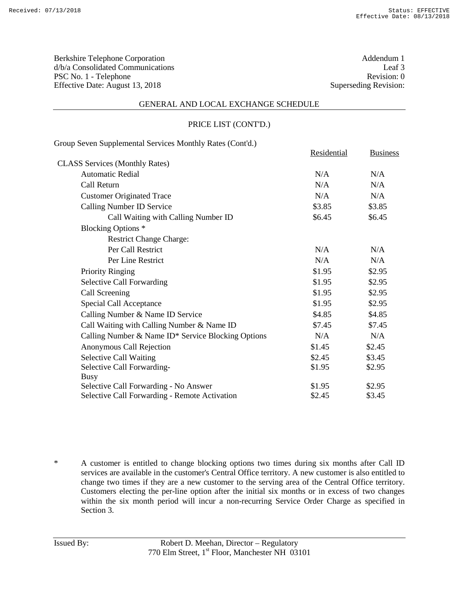Berkshire Telephone Corporation <br>
d/b/a Consolidated Communications Leaf 3 d/b/a Consolidated Communications Leaf 3<br>
PSC No. 1 - Telephone Revision: 0 PSC No. 1 - Telephone Effective Date: August 13, 2018 Superseding Revision:

#### GENERAL AND LOCAL EXCHANGE SCHEDULE

#### PRICE LIST (CONT'D.)

| Group Seven Supplemental Services Monthly Rates (Cont'd.) |             |                 |
|-----------------------------------------------------------|-------------|-----------------|
|                                                           | Residential | <b>Business</b> |
| <b>CLASS Services (Monthly Rates)</b>                     |             |                 |
| <b>Automatic Redial</b>                                   | N/A         | N/A             |
| Call Return                                               | N/A         | N/A             |
| <b>Customer Originated Trace</b>                          | N/A         | N/A             |
| Calling Number ID Service                                 | \$3.85      | \$3.85          |
| Call Waiting with Calling Number ID                       | \$6.45      | \$6.45          |
| Blocking Options <sup>*</sup>                             |             |                 |
| <b>Restrict Change Charge:</b>                            |             |                 |
| Per Call Restrict                                         | N/A         | N/A             |
| Per Line Restrict                                         | N/A         | N/A             |
| <b>Priority Ringing</b>                                   | \$1.95      | \$2.95          |
| <b>Selective Call Forwarding</b>                          | \$1.95      | \$2.95          |
| Call Screening                                            | \$1.95      | \$2.95          |
| Special Call Acceptance                                   | \$1.95      | \$2.95          |
| Calling Number & Name ID Service                          | \$4.85      | \$4.85          |
| Call Waiting with Calling Number & Name ID                | \$7.45      | \$7.45          |
| Calling Number & Name ID* Service Blocking Options        | N/A         | N/A             |
| Anonymous Call Rejection                                  | \$1.45      | \$2.45          |
| <b>Selective Call Waiting</b>                             | \$2.45      | \$3.45          |
| Selective Call Forwarding-                                | \$1.95      | \$2.95          |
| Busy                                                      |             |                 |
| Selective Call Forwarding - No Answer                     | \$1.95      | \$2.95          |
| Selective Call Forwarding - Remote Activation             | \$2.45      | \$3.45          |

\* A customer is entitled to change blocking options two times during six months after Call ID services are available in the customer's Central Office territory. A new customer is also entitled to change two times if they are a new customer to the serving area of the Central Office territory. Customers electing the per-line option after the initial six months or in excess of two changes within the six month period will incur a non-recurring Service Order Charge as specified in Section 3.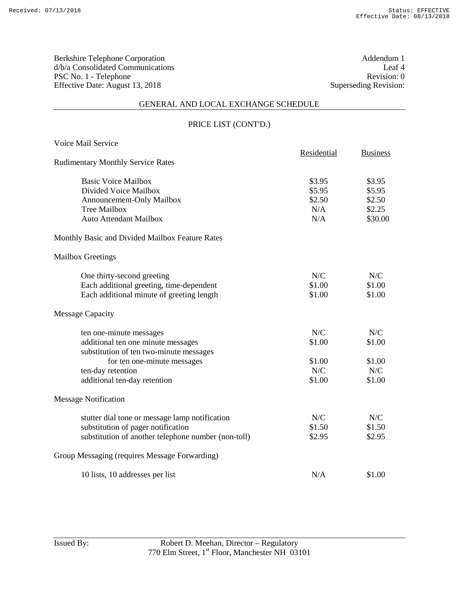Berkshire Telephone Corporation and the set of the Addendum 1 d/b/a Consolidated Communications Leaf 4 PSC No. 1 - Telephone Revision: 0<br>Effective Date: August 13, 2018 Superseding Revision: 0 Effective Date: August 13, 2018

#### GENERAL AND LOCAL EXCHANGE SCHEDULE

# PRICE LIST (CONT'D.)

| Voice Mail Service                                  |             |                 |
|-----------------------------------------------------|-------------|-----------------|
| <b>Rudimentary Monthly Service Rates</b>            | Residential | <b>Business</b> |
|                                                     |             |                 |
| <b>Basic Voice Mailbox</b>                          | \$3.95      | \$3.95          |
| Divided Voice Mailbox                               | \$5.95      | \$5.95          |
| Announcement-Only Mailbox                           | \$2.50      | \$2.50          |
| <b>Tree Mailbox</b>                                 | N/A         | \$2.25          |
| Auto Attendant Mailbox                              | N/A         | \$30.00         |
| Monthly Basic and Divided Mailbox Feature Rates     |             |                 |
| <b>Mailbox Greetings</b>                            |             |                 |
| One thirty-second greeting                          | N/C         | N/C             |
| Each additional greeting, time-dependent            | \$1.00      | \$1.00          |
| Each additional minute of greeting length           | \$1.00      | \$1.00          |
| <b>Message Capacity</b>                             |             |                 |
| ten one-minute messages                             | N/C         | N/C             |
| additional ten one minute messages                  | \$1.00      | \$1.00          |
| substitution of ten two-minute messages             |             |                 |
| for ten one-minute messages                         | \$1.00      | \$1.00          |
| ten-day retention                                   | N/C         | N/C             |
| additional ten-day retention                        | \$1.00      | \$1.00          |
| <b>Message Notification</b>                         |             |                 |
| stutter dial tone or message lamp notification      | N/C         | N/C             |
| substitution of pager notification                  | \$1.50      | \$1.50          |
| substitution of another telephone number (non-toll) | \$2.95      | \$2.95          |
| Group Messaging (requires Message Forwarding)       |             |                 |
| 10 lists, 10 addresses per list                     | N/A         | \$1.00          |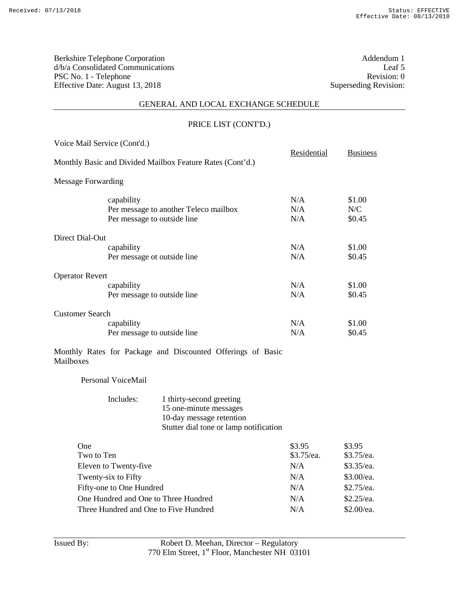Berkshire Telephone Corporation and the set of the Addendum 1 d/b/a Consolidated Communications Leaf 5 PSC No. 1 - Telephone Revision: 0<br>Effective Date: August 13, 2018 Superseding Revision: 0 Effective Date: August 13, 2018

# GENERAL AND LOCAL EXCHANGE SCHEDULE

# PRICE LIST (CONT'D.)

| Voice Mail Service (Cont'd.) |                                                                                    |                                                                                                                          | Residential          | <b>Business</b>         |
|------------------------------|------------------------------------------------------------------------------------|--------------------------------------------------------------------------------------------------------------------------|----------------------|-------------------------|
|                              |                                                                                    | Monthly Basic and Divided Mailbox Feature Rates (Cont'd.)                                                                |                      |                         |
| <b>Message Forwarding</b>    |                                                                                    |                                                                                                                          |                      |                         |
|                              | capability<br>Per message to another Teleco mailbox<br>Per message to outside line |                                                                                                                          | N/A<br>N/A<br>N/A    | \$1.00<br>N/C<br>\$0.45 |
| Direct Dial-Out              |                                                                                    |                                                                                                                          |                      |                         |
|                              | capability                                                                         | Per message ot outside line                                                                                              | N/A<br>N/A           | \$1.00<br>\$0.45        |
| <b>Operator Revert</b>       |                                                                                    |                                                                                                                          |                      |                         |
|                              | capability                                                                         | Per message to outside line                                                                                              | N/A<br>N/A           | \$1.00<br>\$0.45        |
| <b>Customer Search</b>       |                                                                                    |                                                                                                                          |                      |                         |
|                              | capability                                                                         | Per message to outside line                                                                                              | N/A<br>N/A           | \$1.00<br>\$0.45        |
| Mailboxes                    |                                                                                    | Monthly Rates for Package and Discounted Offerings of Basic                                                              |                      |                         |
|                              | Personal VoiceMail                                                                 |                                                                                                                          |                      |                         |
|                              | Includes:                                                                          | 1 thirty-second greeting<br>15 one-minute messages<br>10-day message retention<br>Stutter dial tone or lamp notification |                      |                         |
| One<br>Two to Ten            |                                                                                    |                                                                                                                          | \$3.95<br>\$3.75/ea. | \$3.95<br>\$3.75/ea.    |
|                              | Eleven to Twenty-five                                                              |                                                                                                                          | N/A                  | \$3.35/ea.              |
| Twenty-six to Fifty          |                                                                                    | N/A                                                                                                                      | \$3.00/ea.           |                         |
|                              | Fifty-one to One Hundred                                                           |                                                                                                                          | N/A                  | \$2.75/ea.              |
|                              |                                                                                    | One Hundred and One to Three Hundred                                                                                     | N/A                  | \$2.25/ea.              |
|                              |                                                                                    | Three Hundred and One to Five Hundred                                                                                    | N/A                  | \$2.00/ea.              |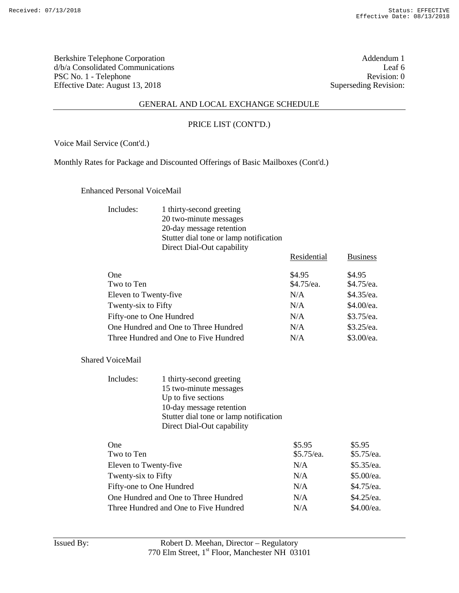Berkshire Telephone Corporation Addendum 1<br>  $d/b/a$  Consolidated Communications Leaf 6 d/b/a Consolidated Communications Leaf 6<br>
PSC No. 1 - Telephone Revision: 0 PSC No. 1 - Telephone Revision: 0<br>Effective Date: August 13, 2018 Superseding Revision: 0 Effective Date: August 13, 2018

### GENERAL AND LOCAL EXCHANGE SCHEDULE

### PRICE LIST (CONT'D.)

Voice Mail Service (Cont'd.)

Monthly Rates for Package and Discounted Offerings of Basic Mailboxes (Cont'd.)

Enhanced Personal VoiceMail

| Includes: | 1 thirty-second greeting               |
|-----------|----------------------------------------|
|           | 20 two-minute messages                 |
|           | 20-day message retention               |
|           | Stutter dial tone or lamp notification |
|           | Direct Dial-Out capability             |

|                                       | Residential | <b>Business</b> |
|---------------------------------------|-------------|-----------------|
| <b>One</b>                            | \$4.95      | \$4.95          |
| Two to Ten                            | \$4.75/ea.  | \$4.75/ea.      |
| Eleven to Twenty-five                 | N/A         | $$4.35$ /ea.    |
| Twenty-six to Fifty                   | N/A         | \$4.00/ea.      |
| Fifty-one to One Hundred              | N/A         | \$3.75/ea.      |
| One Hundred and One to Three Hundred  | N/A         | $$3.25$ /ea.    |
| Three Hundred and One to Five Hundred | N/A         | \$3.00/ea.      |

Shared VoiceMail

| Includes: | 1 thirty-second greeting               |
|-----------|----------------------------------------|
|           | 15 two-minute messages                 |
|           | Up to five sections                    |
|           | 10-day message retention               |
|           | Stutter dial tone or lamp notification |
|           | Direct Dial-Out capability             |

| <b>One</b>                            | \$5.95     | \$5.95       |
|---------------------------------------|------------|--------------|
| Two to Ten                            | \$5.75/ea. | $$5.75$ /ea. |
| Eleven to Twenty-five                 | N/A        | \$5.35/ea.   |
| Twenty-six to Fifty                   | N/A        | \$5.00/ea.   |
| Fifty-one to One Hundred              | N/A        | \$4.75/ea.   |
| One Hundred and One to Three Hundred  | N/A        | \$4.25/ea.   |
| Three Hundred and One to Five Hundred | N/A        | \$4.00/ea.   |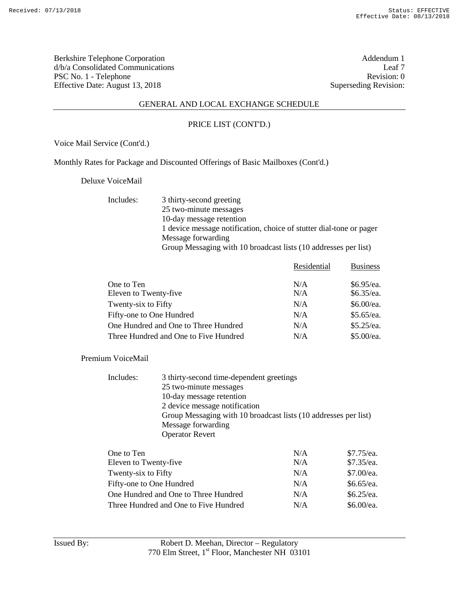Berkshire Telephone Corporation <br>
d/b/a Consolidated Communications Leaf 7 d/b/a Consolidated Communications Leaf 7<br>PSC No. 1 - Telephone Revision: 0 PSC No. 1 - Telephone Effective Date: August 13, 2018 Superseding Revision:

### GENERAL AND LOCAL EXCHANGE SCHEDULE

### PRICE LIST (CONT'D.)

Voice Mail Service (Cont'd.)

Monthly Rates for Package and Discounted Offerings of Basic Mailboxes (Cont'd.)

Deluxe VoiceMail

Includes: 3 thirty-second greeting 25 two-minute messages 10-day message retention 1 device message notification, choice of stutter dial-tone or pager Message forwarding Group Messaging with 10 broadcast lists (10 addresses per list)

|                                       | Residential | <b>Business</b> |
|---------------------------------------|-------------|-----------------|
| One to Ten                            | N/A         | $$6.95$ /ea.    |
| Eleven to Twenty-five                 | N/A         | $$6.35$ /ea.    |
| Twenty-six to Fifty                   | N/A         | \$6.00/ea.      |
| Fifty-one to One Hundred              | N/A         | \$5.65/ea.      |
| One Hundred and One to Three Hundred  | N/A         | \$5.25/ea.      |
| Three Hundred and One to Five Hundred | N/A         | \$5.00/ea.      |

Premium VoiceMail

| 3 thirty-second time-dependent greetings                        |
|-----------------------------------------------------------------|
| 25 two-minute messages                                          |
| 10-day message retention                                        |
| 2 device message notification                                   |
| Group Messaging with 10 broadcast lists (10 addresses per list) |
| Message forwarding                                              |
| <b>Operator Revert</b>                                          |
|                                                                 |

| One to Ten                            | N/A | \$7.75/ea.   |
|---------------------------------------|-----|--------------|
| Eleven to Twenty-five                 | N/A | $$7.35$ /ea. |
| Twenty-six to Fifty                   | N/A | \$7.00/ea.   |
| Fifty-one to One Hundred              | N/A | $$6.65$ /ea. |
| One Hundred and One to Three Hundred  | N/A | $$6.25$ /ea. |
| Three Hundred and One to Five Hundred | N/A | \$6.00/ea.   |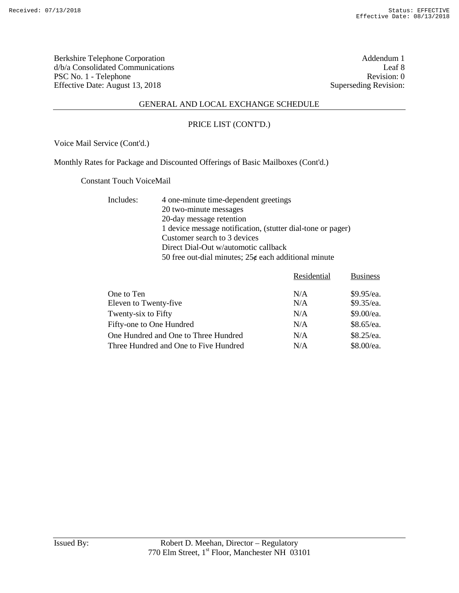Berkshire Telephone Corporation and the set of the Addendum 1 Addendum 1 Addendum 1 Addendum 1 Addendum 1 Addendum 1 Addendum 1 Addendum 1 Addendum 1 Addendum 1 Addendum 1 Addendum 1 Addendum 1 Addendum 1 Addendum 1 Addend d/b/a Consolidated Communications Leaf 8<br>
PSC No. 1 - Telephone Revision: 0 PSC No. 1 - Telephone Effective Date: August 13, 2018 Superseding Revision:

### GENERAL AND LOCAL EXCHANGE SCHEDULE

#### PRICE LIST (CONT'D.)

Voice Mail Service (Cont'd.)

Monthly Rates for Package and Discounted Offerings of Basic Mailboxes (Cont'd.)

Constant Touch VoiceMail

Includes: 4 one-minute time-dependent greetings 20 two-minute messages 20-day message retention 1 device message notification, (stutter dial-tone or pager) Customer search to 3 devices Direct Dial-Out w/automotic callback 50 free out-dial minutes;  $25¢$  each additional minute

|                                       | Residential | <b>Business</b> |
|---------------------------------------|-------------|-----------------|
|                                       |             |                 |
| One to Ten                            | N/A         | $$9.95$ /ea.    |
| Eleven to Twenty-five                 | N/A         | \$9.35/ea.      |
| Twenty-six to Fifty                   | N/A         | \$9.00/ea.      |
| Fifty-one to One Hundred              | N/A         | $$8.65$ /ea.    |
| One Hundred and One to Three Hundred  | N/A         | \$8.25/ea.      |
| Three Hundred and One to Five Hundred | N/A         | \$8.00/ea.      |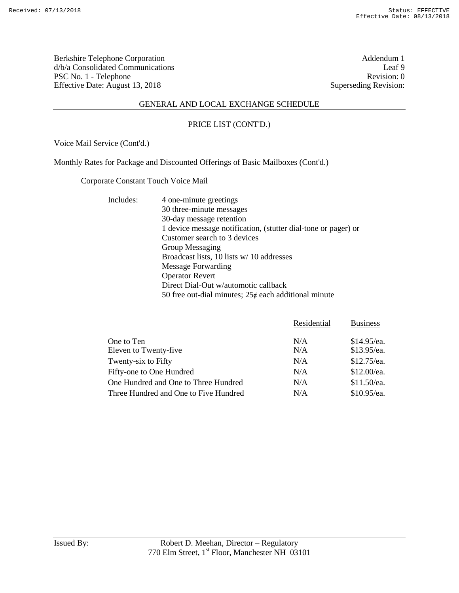Berkshire Telephone Corporation and the set of the set of the Addendum 1 and Addendum 1 d/b/a Consolidated Communications Leaf 9<br>
PSC No. 1 - Telephone Revision: 0 PSC No. 1 - Telephone Effective Date: August 13, 2018 Superseding Revision:

### GENERAL AND LOCAL EXCHANGE SCHEDULE

#### PRICE LIST (CONT'D.)

Voice Mail Service (Cont'd.)

Monthly Rates for Package and Discounted Offerings of Basic Mailboxes (Cont'd.)

Corporate Constant Touch Voice Mail

Includes: 4 one-minute greetings

30 three-minute messages 30-day message retention 1 device message notification, (stutter dial-tone or pager) or Customer search to 3 devices Group Messaging Broadcast lists, 10 lists w/ 10 addresses Message Forwarding Operator Revert Direct Dial-Out w/automotic callback 50 free out-dial minutes;  $25¢$  each additional minute

|                                       | Residential | <b>Business</b> |
|---------------------------------------|-------------|-----------------|
| One to Ten                            | N/A         | $$14.95$ /ea.   |
| Eleven to Twenty-five                 | N/A         | \$13.95/ea.     |
| Twenty-six to Fifty                   | N/A         | $$12.75$ /ea.   |
| Fifty-one to One Hundred              | N/A         | \$12.00/ea.     |
| One Hundred and One to Three Hundred  | N/A         | $$11.50$ /ea.   |
| Three Hundred and One to Five Hundred | N/A         | $$10.95$ /ea.   |